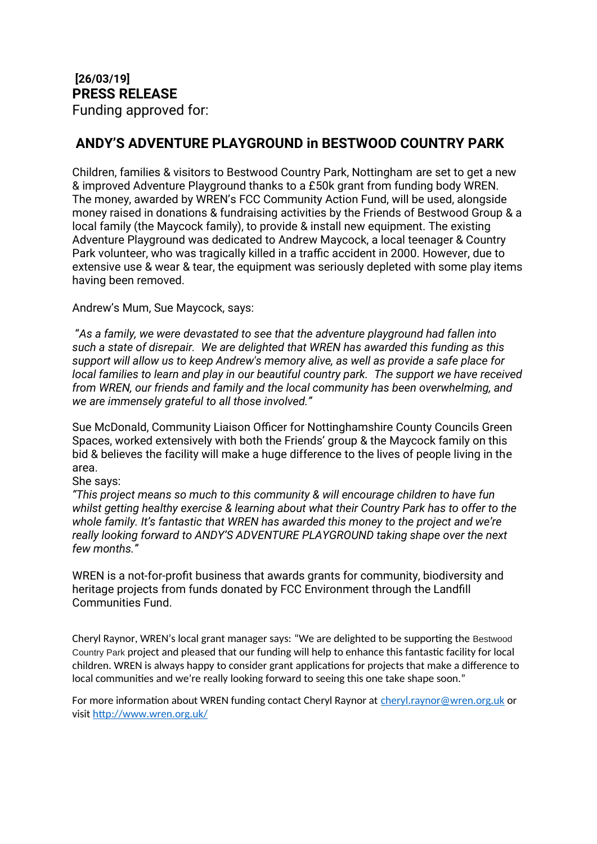## **ANDY'S ADVENTURE PLAYGROUND in BESTWOOD COUNTRY PARK**

Children, families & visitors to Bestwood Country Park, Nottingham are set to get a new & improved Adventure Playground thanks to a £50k grant from funding body WREN. The money, awarded by WREN's FCC Community Action Fund, will be used, alongside money raised in donations & fundraising activities by the Friends of Bestwood Group & a local family (the Maycock family), to provide & install new equipment. The existing Adventure Playground was dedicated to Andrew Maycock, a local teenager & Country Park volunteer, who was tragically killed in a traffic accident in 2000. However, due to extensive use & wear & tear, the equipment was seriously depleted with some play items having been removed.

Andrew's Mum, Sue Maycock, says:

 "*As a family, we were devastated to see that the adventure playground had fallen into such a state of disrepair. We are delighted that WREN has awarded this funding as this support will allow us to keep Andrew's memory alive, as well as provide a safe place for local families to learn and play in our beautiful country park. The support we have received from WREN, our friends and family and the local community has been overwhelming, and we are immensely grateful to all those involved."*

Sue McDonald, Community Liaison Officer for Nottinghamshire County Councils Green Spaces, worked extensively with both the Friends' group & the Maycock family on this bid & believes the facility will make a huge difference to the lives of people living in the area.

She says:

*"This project means so much to this community & will encourage children to have fun whilst getting healthy exercise & learning about what their Country Park has to offer to the whole family. It's fantastic that WREN has awarded this money to the project and we're really looking forward to ANDY'S ADVENTURE PLAYGROUND taking shape over the next few months."* 

WREN is a not-for-profit business that awards grants for community, biodiversity and heritage projects from funds donated by FCC Environment through the Landfill Communities Fund.

Cheryl Raynor, WREN's local grant manager says: "We are delighted to be supporting the Bestwood Country Park project and pleased that our funding will help to enhance this fantastic facility for local children. WREN is always happy to consider grant applications for projects that make a difference to local communities and we're really looking forward to seeing this one take shape soon."

For more information about WREN funding contact Cheryl Raynor at [cheryl.raynor@wren.org.uk](mailto:cheryl.raynor@wren.org.uk) or visit<http://www.wren.org.uk/>